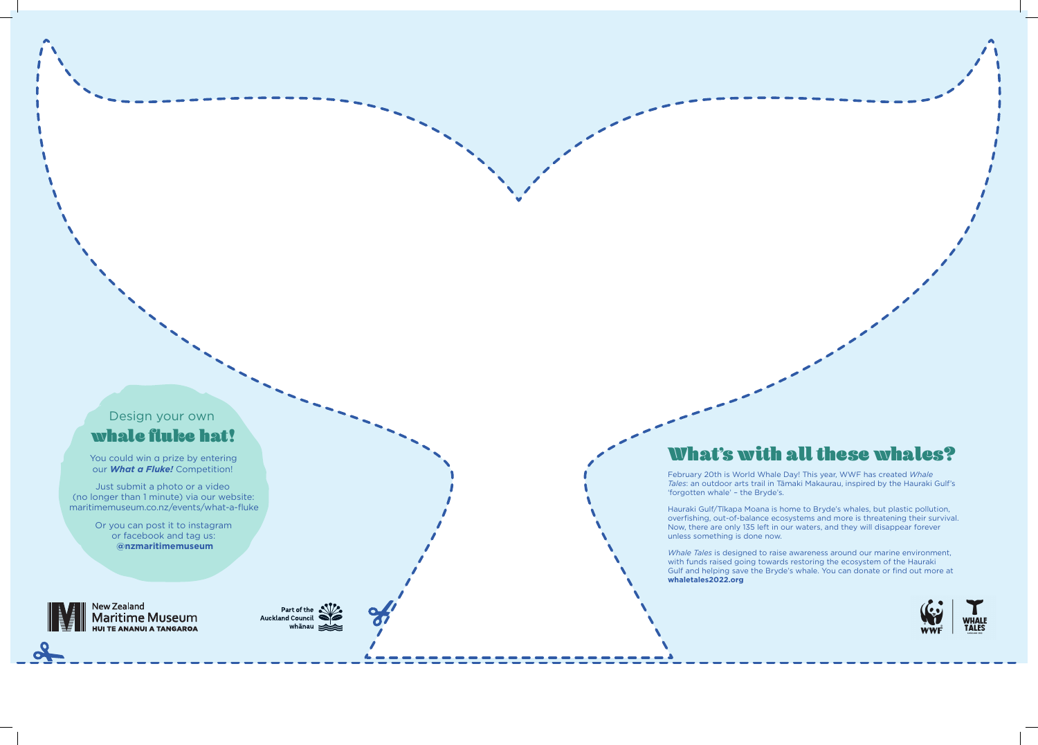## What's with all these whales?

February 20th is World Whale Day! This year, WWF has created *Whale Tales*: an outdoor arts trail in Tāmaki Makaurau, inspired by the Hauraki Gulf's 'forgotten whale' – the Bryde's.

Hauraki Gulf/Tīkapa Moana is home to Bryde's whales, but plastic pollution, overfishing, out-of-balance ecosystems and more is threatening their survival. Now, there are only 135 left in our waters, and they will disappear forever unless something is done now.

*Whale Tales* is designed to raise awareness around our marine environment, with funds raised going towards restoring the ecosystem of the Hauraki Gulf and helping save the Bryde's whale. You can donate or find out more at **whaletales2022.org**



## Design your own whale fluke hat!

You could win a prize by entering our *What a Fluke!* Competition!

Just submit a photo or a video (no longer than 1 minute) via our website: maritimemuseum.co.nz/events/what-a-fluke

> Or you can post it to instagram or facebook and tag us: **@nzmaritimemuseum**

<sub>New Zealand</sub><br>**Maritime Museum HUI TE ANANUI A TANGAROA** 

Part of the Part of the whānau